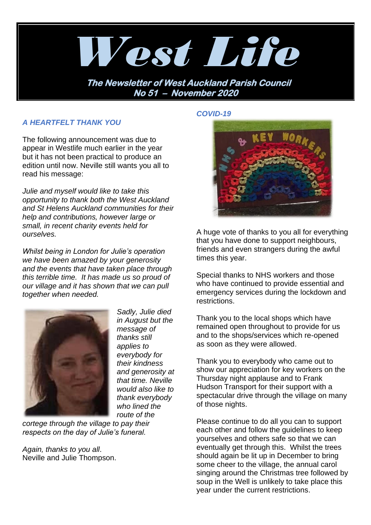

## *A HEARTFELT THANK YOU*

The following announcement was due to appear in Westlife much earlier in the year but it has not been practical to produce an edition until now. Neville still wants you all to read his message:

*Julie and myself would like to take this opportunity to thank both the West Auckland and St Helens Auckland communities for their help and contributions, however large or small, in recent charity events held for ourselves.*

*Whilst being in London for Julie's operation we have been amazed by your generosity and the events that have taken place through this terrible time. It has made us so proud of our village and it has shown that we can pull together when needed.*



*Sadly, Julie died in August but the message of thanks still applies to everybody for their kindness and generosity at that time. Neville would also like to thank everybody who lined the route of the* 

*cortege through the village to pay their respects on the day of Julie's funeral.*

*Again, thanks to you all*. Neville and Julie Thompson. *COVID-19*



A huge vote of thanks to you all for everything that you have done to support neighbours, friends and even strangers during the awful times this year.

Special thanks to NHS workers and those who have continued to provide essential and emergency services during the lockdown and restrictions.

Thank you to the local shops which have remained open throughout to provide for us and to the shops/services which re-opened as soon as they were allowed.

Thank you to everybody who came out to show our appreciation for key workers on the Thursday night applause and to Frank Hudson Transport for their support with a spectacular drive through the village on many of those nights.

Please continue to do all you can to support each other and follow the guidelines to keep yourselves and others safe so that we can eventually get through this. Whilst the trees should again be lit up in December to bring some cheer to the village, the annual carol singing around the Christmas tree followed by soup in the Well is unlikely to take place this year under the current restrictions.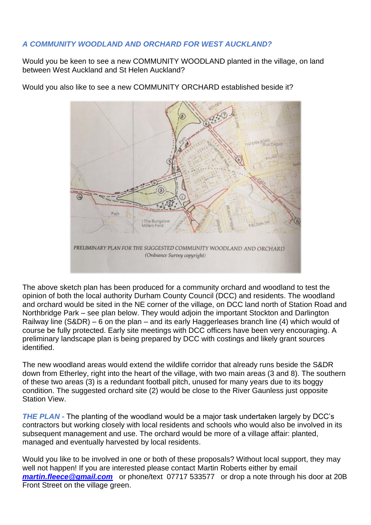# *A COMMUNITY WOODLAND AND ORCHARD FOR WEST AUCKLAND?*

Would you be keen to see a new COMMUNITY WOODLAND planted in the village, on land between West Auckland and St Helen Auckland?

Would you also like to see a new COMMUNITY ORCHARD established beside it?



The above sketch plan has been produced for a community orchard and woodland to test the opinion of both the local authority Durham County Council (DCC) and residents. The woodland and orchard would be sited in the NE corner of the village, on DCC land north of Station Road and Northbridge Park – see plan below. They would adjoin the important Stockton and Darlington Railway line (S&DR) – 6 on the plan – and its early Haggerleases branch line (4) which would of course be fully protected. Early site meetings with DCC officers have been very encouraging. A preliminary landscape plan is being prepared by DCC with costings and likely grant sources identified.

The new woodland areas would extend the wildlife corridor that already runs beside the S&DR down from Etherley, right into the heart of the village, with two main areas (3 and 8). The southern of these two areas (3) is a redundant football pitch, unused for many years due to its boggy condition. The suggested orchard site (2) would be close to the River Gaunless just opposite Station View.

*THE PLAN -* The planting of the woodland would be a major task undertaken largely by DCC's contractors but working closely with local residents and schools who would also be involved in its subsequent management and use. The orchard would be more of a village affair: planted, managed and eventually harvested by local residents.

Would you like to be involved in one or both of these proposals? Without local support, they may well not happen! If you are interested please contact Martin Roberts either by email *[martin.fleece@gmail.com](mailto:martin.fleece@gmail.com)* or phone/text 07717 533577 or drop a note through his door at 20B Front Street on the village green.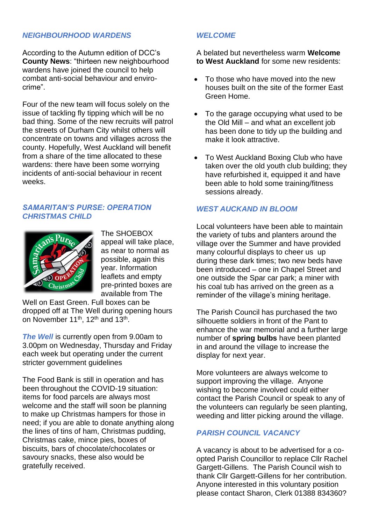# *NEIGHBOURHOOD WARDENS*

According to the Autumn edition of DCC's **County News**: "thirteen new neighbourhood wardens have joined the council to help combat anti-social behaviour and envirocrime".

Four of the new team will focus solely on the issue of tackling fly tipping which will be no bad thing. Some of the new recruits will patrol the streets of Durham City whilst others will concentrate on towns and villages across the county. Hopefully, West Auckland will benefit from a share of the time allocated to these wardens: there have been some worrying incidents of anti-social behaviour in recent weeks.

#### *SAMARITAN'S PURSE: OPERATION CHRISTMAS CHILD*



The SHOEBOX appeal will take place, as near to normal as possible, again this year. Information leaflets and empty pre-printed boxes are available from The

Well on East Green. Full boxes can be dropped off at The Well during opening hours on November 11<sup>th</sup>, 12<sup>th</sup> and 13<sup>th</sup>.

*The Well* is currently open from 9.00am to 3.00pm on Wednesday, Thursday and Friday each week but operating under the current stricter government guidelines

The Food Bank is still in operation and has been throughout the COVID-19 situation: items for food parcels are always most welcome and the staff will soon be planning to make up Christmas hampers for those in need; if you are able to donate anything along the lines of tins of ham, Christmas pudding, Christmas cake, mince pies, boxes of biscuits, bars of chocolate/chocolates or savoury snacks, these also would be gratefully received.

# *WELCOME*

A belated but nevertheless warm **Welcome to West Auckland** for some new residents:

- To those who have moved into the new houses built on the site of the former East Green Home.
- To the garage occupying what used to be the Old Mill – and what an excellent job has been done to tidy up the building and make it look attractive.
- To West Auckland Boxing Club who have taken over the old youth club building; they have refurbished it, equipped it and have been able to hold some training/fitness sessions already.

## *WEST AUCKAND IN BLOOM*

Local volunteers have been able to maintain the variety of tubs and planters around the village over the Summer and have provided many colourful displays to cheer us up during these dark times; two new beds have been introduced – one in Chapel Street and one outside the Spar car park; a miner with his coal tub has arrived on the green as a reminder of the village's mining heritage.

The Parish Council has purchased the two silhouette soldiers in front of the Pant to enhance the war memorial and a further large number of **spring bulbs** have been planted in and around the village to increase the display for next year.

More volunteers are always welcome to support improving the village. Anyone wishing to become involved could either contact the Parish Council or speak to any of the volunteers can regularly be seen planting, weeding and litter picking around the village.

# *PARISH COUNCIL VACANCY*

A vacancy is about to be advertised for a coopted Parish Councillor to replace Cllr Rachel Gargett-Gillens. The Parish Council wish to thank Cllr Gargett-Gillens for her contribution. Anyone interested in this voluntary position please contact Sharon, Clerk 01388 834360?